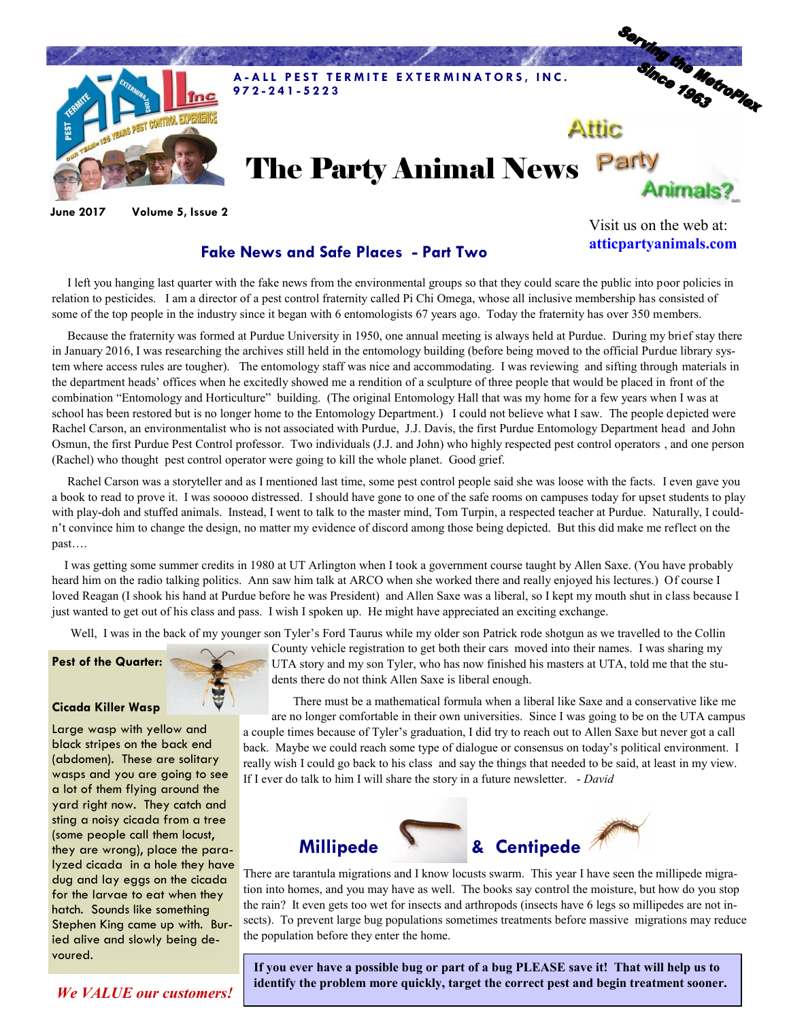

**June 2017 Volume 5, Issue 2**

**Fake News and Safe Places - Part Two**

Visit us on the web at: **atticpartyanimals.com**

 I left you hanging last quarter with the fake news from the environmental groups so that they could scare the public into poor policies in relation to pesticides. I am a director of a pest control fraternity called Pi Chi Omega, whose all inclusive membership has consisted of some of the top people in the industry since it began with 6 entomologists 67 years ago. Today the fraternity has over 350 members.

 Because the fraternity was formed at Purdue University in 1950, one annual meeting is always held at Purdue. During my brief stay there in January 2016, I was researching the archives still held in the entomology building (before being moved to the official Purdue library system where access rules are tougher). The entomology staff was nice and accommodating. I was reviewing and sifting through materials in the department heads' offices when he excitedly showed me a rendition of a sculpture of three people that would be placed in front of the combination "Entomology and Horticulture" building. (The original Entomology Hall that was my home for a few years when I was at school has been restored but is no longer home to the Entomology Department.) I could not believe what I saw. The people depicted were Rachel Carson, an environmentalist who is not associated with Purdue, J.J. Davis, the first Purdue Entomology Department head and John Osmun, the first Purdue Pest Control professor. Two individuals (J.J. and John) who highly respected pest control operators , and one person (Rachel) who thought pest control operator were going to kill the whole planet. Good grief.

 Rachel Carson was a storyteller and as I mentioned last time, some pest control people said she was loose with the facts. I even gave you a book to read to prove it. I was sooooo distressed. I should have gone to one of the safe rooms on campuses today for upset students to play with play-doh and stuffed animals. Instead, I went to talk to the master mind, Tom Turpin, a respected teacher at Purdue. Naturally, I couldn't convince him to change the design, no matter my evidence of discord among those being depicted. But this did make me reflect on the past….

 I was getting some summer credits in 1980 at UT Arlington when I took a government course taught by Allen Saxe. (You have probably heard him on the radio talking politics. Ann saw him talk at ARCO when she worked there and really enjoyed his lectures.) Of course I loved Reagan (I shook his hand at Purdue before he was President) and Allen Saxe was a liberal, so I kept my mouth shut in class because I just wanted to get out of his class and pass. I wish I spoken up. He might have appreciated an exciting exchange.

Well, I was in the back of my younger son Tyler's Ford Taurus while my older son Patrick rode shotgun as we travelled to the Collin

## **Pest of the Quarter:**



County vehicle registration to get both their cars moved into their names. I was sharing my

**Cicada Killer Wasp**

Large wasp with yellow and black stripes on the back end (abdomen). These are solitary wasps and you are going to see a lot of them flying around the yard right now. They catch and sting a noisy cicada from a tree (some people call them locust, they are wrong), place the paralyzed cicada in a hole they have dug and lay eggs on the cicada for the larvae to eat when they hatch. Sounds like something Stephen King came up with. Buried alive and slowly being devoured.

UTA story and my son Tyler, who has now finished his masters at UTA, told me that the students there do not think Allen Saxe is liberal enough.

 There must be a mathematical formula when a liberal like Saxe and a conservative like me are no longer comfortable in their own universities. Since I was going to be on the UTA campus a couple times because of Tyler's graduation, I did try to reach out to Allen Saxe but never got a call back. Maybe we could reach some type of dialogue or consensus on today's political environment. I really wish I could go back to his class and say the things that needed to be said, at least in my view. If I ever do talk to him I will share the story in a future newsletter. - *David*



There are tarantula migrations and I know locusts swarm. This year I have seen the millipede migration into homes, and you may have as well. The books say control the moisture, but how do you stop the rain? It even gets too wet for insects and arthropods (insects have 6 legs so millipedes are not insects). To prevent large bug populations sometimes treatments before massive migrations may reduce the population before they enter the home.

**If you ever have a possible bug or part of a bug PLEASE save it! That will help us to identify the problem more quickly, target the correct pest and begin treatment sooner.** 

*We VALUE our customers!*